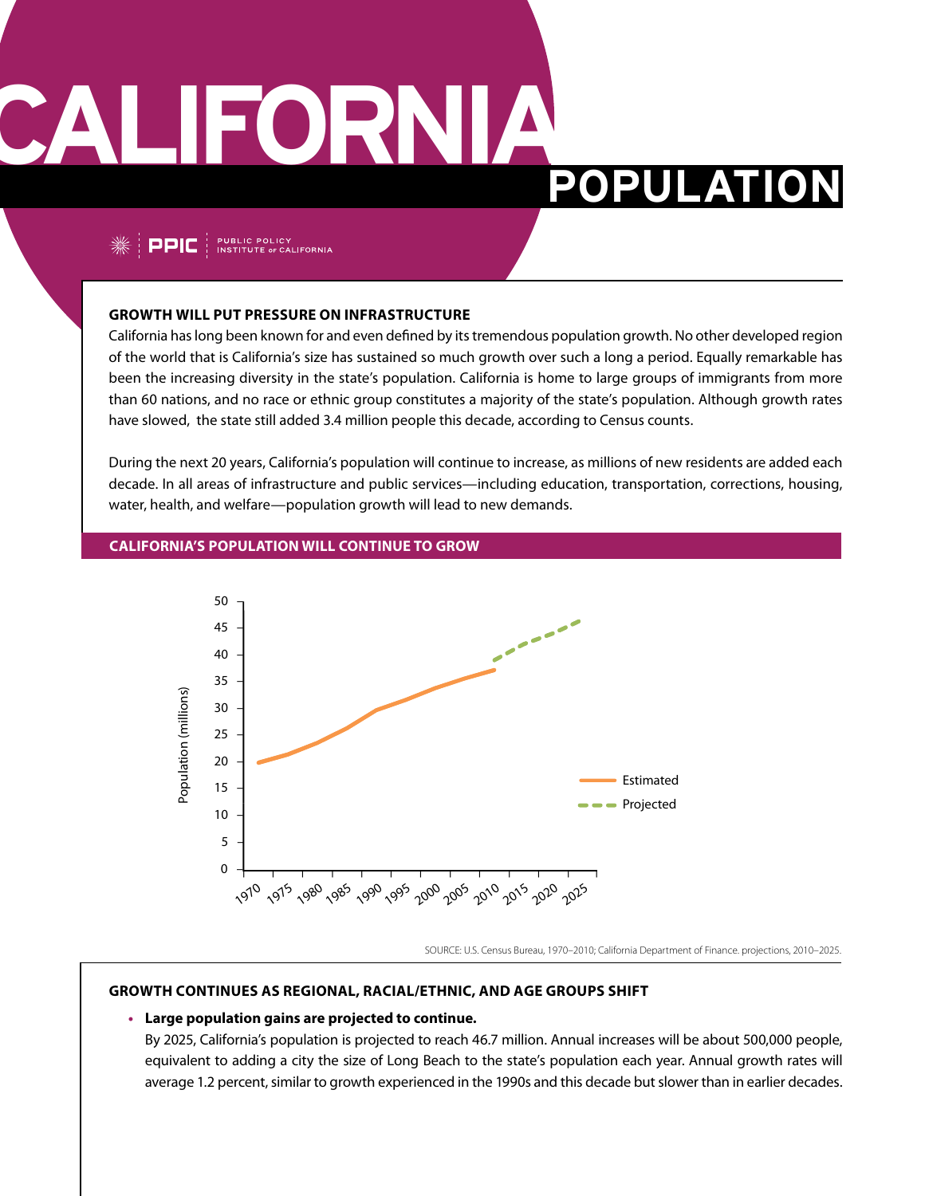# **CALIFORNIA**

## **POPULATION**

 $\frac{1}{2}$  PPIC  $\frac{1}{2}$  PUBLIC POLICY

#### **Growth will put pressure on infrastructure**

California has long been known for and even defined by its tremendous population growth. No other developed region of the world that is California's size has sustained so much growth over such a long a period. Equally remarkable has been the increasing diversity in the state's population. California is home to large groups of immigrants from more than 60 nations, and no race or ethnic group constitutes a majority of the state's population. Although growth rates have slowed, the state still added 3.4 million people this decade, according to Census counts.

During the next 20 years, California's population will continue to increase, as millions of new residents are added each decade. In all areas of infrastructure and public services—including education, transportation, corrections, housing, water, health, and welfare—population growth will lead to new demands.

#### **CALIFORNIA'S POPULATION WILL CONTINUE TO GROW**



SOURCE: U.S. Census Bureau, 1970–2010; California Department of Finance. projections, 2010–2025.

#### **Growth continues as regional, racial/ethnic, and age groups shift**

#### **• Large population gains are projected to continue.**

By 2025, California's population is projected to reach 46.7 million. Annual increases will be about 500,000 people, equivalent to adding a city the size of Long Beach to the state's population each year. Annual growth rates will average 1.2 percent, similar to growth experienced in the 1990s and this decade but slower than in earlier decades.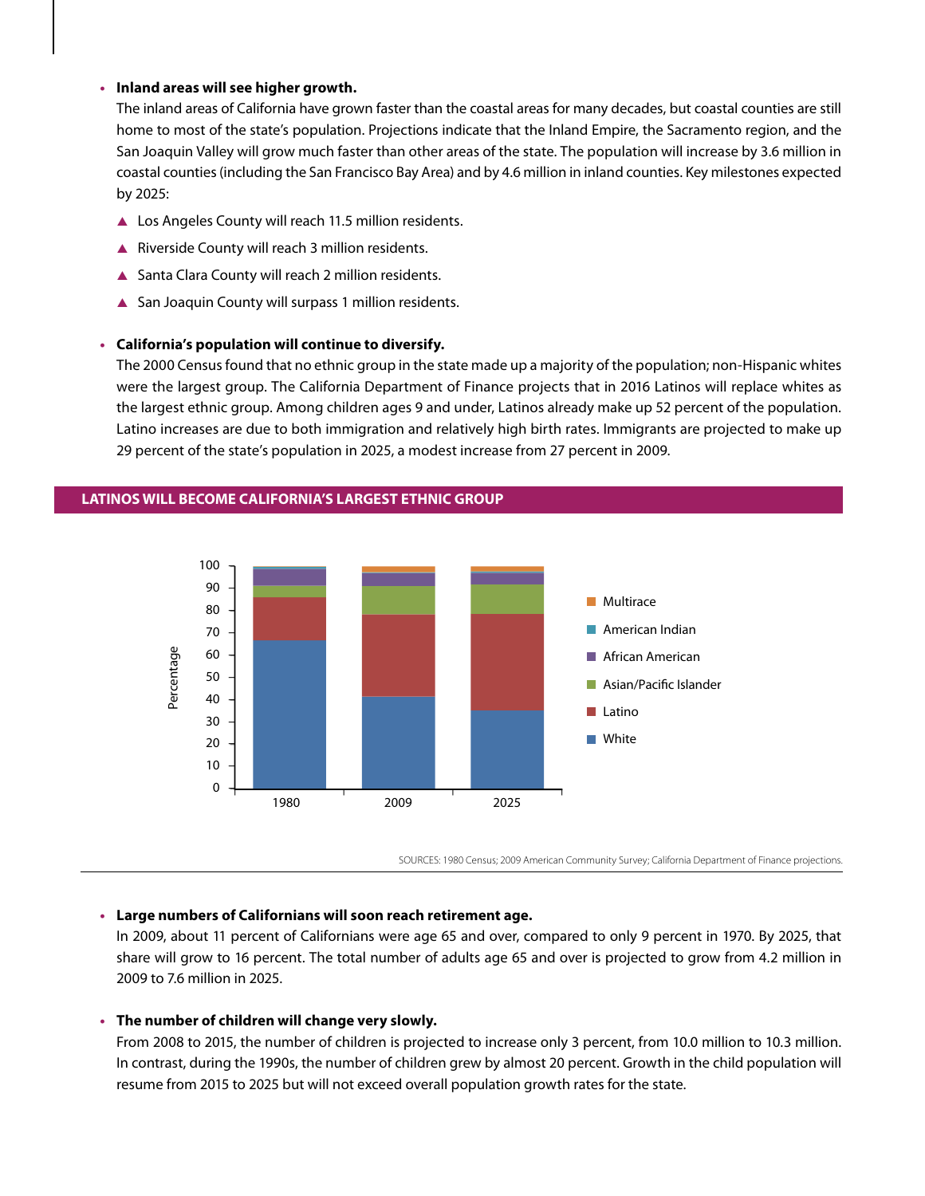#### **• Inland areas will see higher growth.**

The inland areas of California have grown faster than the coastal areas for many decades, but coastal counties are still home to most of the state's population. Projections indicate that the Inland Empire, the Sacramento region, and the San Joaquin Valley will grow much faster than other areas of the state. The population will increase by 3.6 million in coastal counties (including the San Francisco Bay Area) and by 4.6 million in inland counties. Key milestones expected by 2025:

- ▲ Los Angeles County will reach 11.5 million residents.
- ▲ Riverside County will reach 3 million residents.
- ▲ Santa Clara County will reach 2 million residents.
- ▲ San Joaquin County will surpass 1 million residents.

#### **• California's population will continue to diversify.**

The 2000 Census found that no ethnic group in the state made up a majority of the population; non-Hispanic whites were the largest group. The California Department of Finance projects that in 2016 Latinos will replace whites as the largest ethnic group. Among children ages 9 and under, Latinos already make up 52 percent of the population. Latino increases are due to both immigration and relatively high birth rates. Immigrants are projected to make up 29 percent of the state's population in 2025, a modest increase from 27 percent in 2009.



#### **LATINOS WILL BECOME CALIFORNIA'S LARGEST ETHNIC GROUP**

SOURCES: 1980 Census; 2009 American Community Survey; California Department of Finance projections.

#### **• Large numbers of Californians will soon reach retirement age.**

In 2009, about 11 percent of Californians were age 65 and over, compared to only 9 percent in 1970. By 2025, that share will grow to 16 percent. The total number of adults age 65 and over is projected to grow from 4.2 million in 2009 to 7.6 million in 2025.

#### **• The number of children will change very slowly.**

From 2008 to 2015, the number of children is projected to increase only 3 percent, from 10.0 million to 10.3 million. In contrast, during the 1990s, the number of children grew by almost 20 percent. Growth in the child population will resume from 2015 to 2025 but will not exceed overall population growth rates for the state.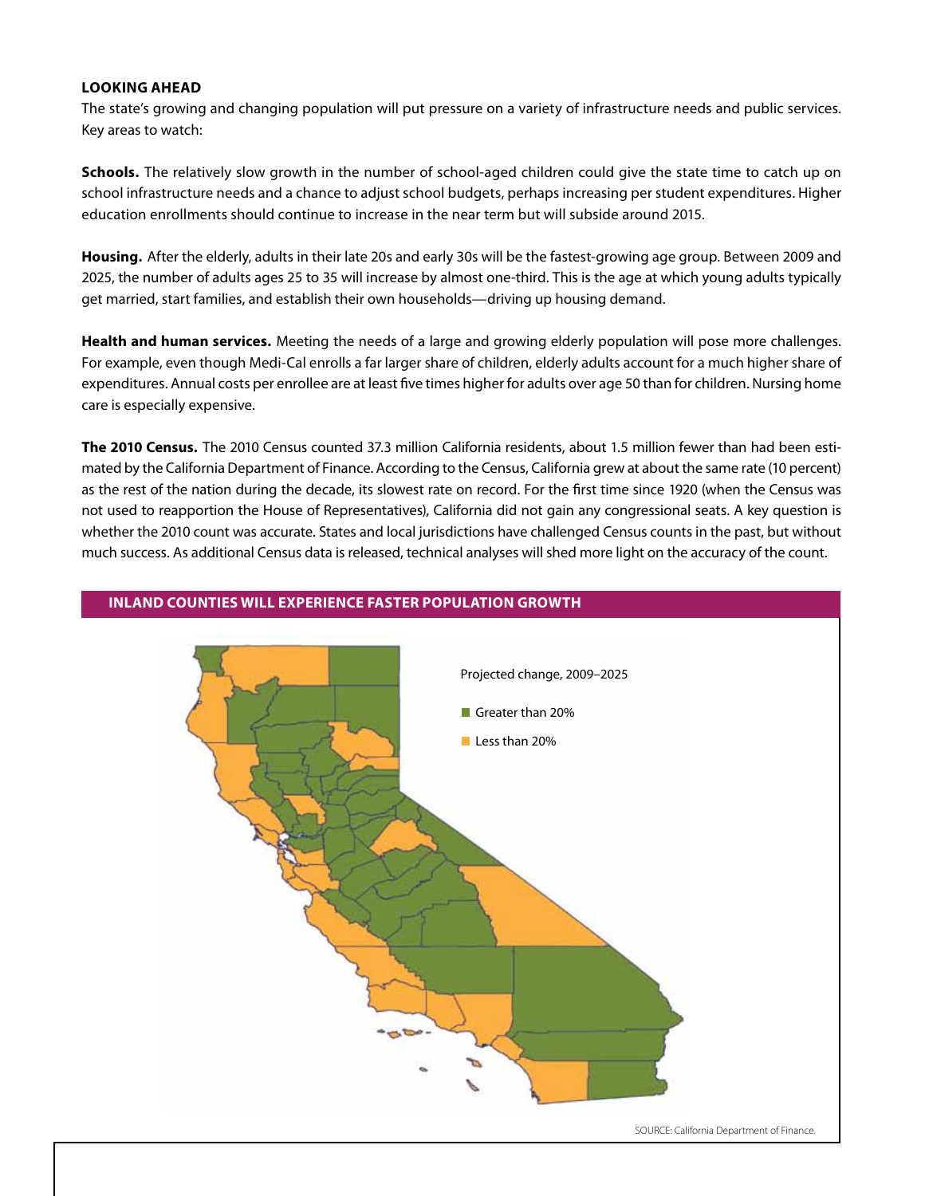#### **Looking ahead**

The state's growing and changing population will put pressure on a variety of infrastructure needs and public services. Key areas to watch:

**Schools.** The relatively slow growth in the number of school-aged children could give the state time to catch up on school infrastructure needs and a chance to adjust school budgets, perhaps increasing per student expenditures. Higher education enrollments should continue to increase in the near term but will subside around 2015.

**Housing.** After the elderly, adults in their late 20s and early 30s will be the fastest-growing age group. Between 2009 and 2025, the number of adults ages 25 to 35 will increase by almost one-third. This is the age at which young adults typically get married, start families, and establish their own households—driving up housing demand.

**Health and human services.** Meeting the needs of a large and growing elderly population will pose more challenges. For example, even though Medi-Cal enrolls a far larger share of children, elderly adults account for a much higher share of expenditures. Annual costs per enrollee are at least five times higher for adults over age 50 than for children. Nursing home care is especially expensive.

**The 2010 Census.** The 2010 Census counted 37.3 million California residents, about 1.5 million fewer than had been estimated by the California Department of Finance. According to the Census, California grew at about the same rate (10 percent) as the rest of the nation during the decade, its slowest rate on record. For the first time since 1920 (when the Census was not used to reapportion the House of Representatives), California did not gain any congressional seats. A key question is whether the 2010 count was accurate. States and local jurisdictions have challenged Census counts in the past, but without much success. As additional Census data is released, technical analyses will shed more light on the accuracy of the count.



#### **Inland Counties will Experience Faster Population Growth**